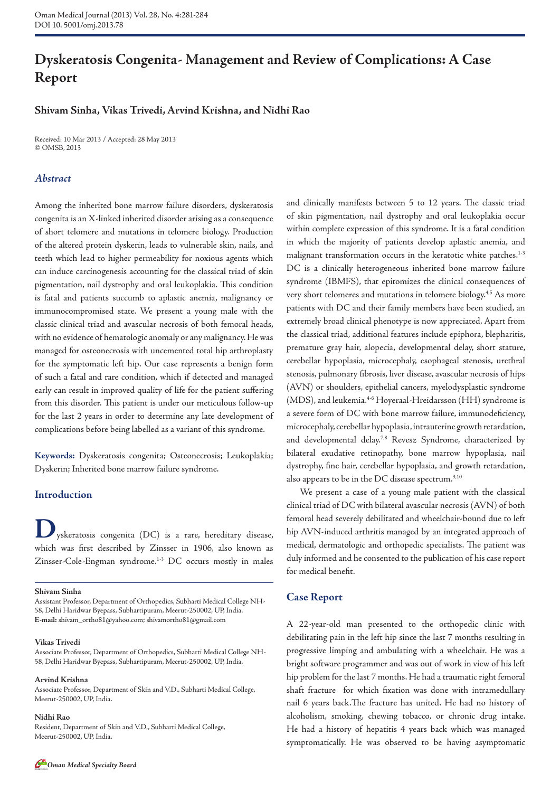# **Dyskeratosis Congenita- Management and Review of Complications: A Case Report**

# **Shivam Sinha, Vikas Trivedi, Arvind Krishna, and Nidhi Rao**

Received: 10 Mar 2013 / Accepted: 28 May 2013 © OMSB, 2013

### *Abstract*

Among the inherited bone marrow failure disorders, dyskeratosis congenita is an X-linked inherited disorder arising as a consequence of short telomere and mutations in telomere biology. Production of the altered protein dyskerin, leads to vulnerable skin, nails, and teeth which lead to higher permeability for noxious agents which can induce carcinogenesis accounting for the classical triad of skin pigmentation, nail dystrophy and oral leukoplakia. This condition is fatal and patients succumb to aplastic anemia, malignancy or immunocompromised state. We present a young male with the classic clinical triad and avascular necrosis of both femoral heads, with no evidence of hematologic anomaly or any malignancy. He was managed for osteonecrosis with uncemented total hip arthroplasty for the symptomatic left hip. Our case represents a benign form of such a fatal and rare condition, which if detected and managed early can result in improved quality of life for the patient suffering from this disorder. This patient is under our meticulous follow-up for the last 2 years in order to determine any late development of complications before being labelled as a variant of this syndrome.

**Keywords:** Dyskeratosis congenita; Osteonecrosis; Leukoplakia; Dyskerin; Inherited bone marrow failure syndrome.

### **Introduction**

**D**yskeratosis congenita (DC) is a rare, hereditary disease, which was first described by Zinsser in 1906, also known as Zinsser-Cole-Engman syndrome.<sup>1-3</sup> DC occurs mostly in males

**Shivam Sinha**

Assistant Professor, Department of Orthopedics, Subharti Medical College NH-58, Delhi Haridwar Byepass, Subhartipuram, Meerut-250002, UP, India. **E-mail:** shivam\_ortho81@yahoo.com; shivamortho81@gmail.com

#### **Vikas Trivedi**

Associate Professor, Department of Orthopedics, Subharti Medical College NH-58, Delhi Haridwar Byepass, Subhartipuram, Meerut-250002, UP, India.

#### **Arvind Krishna**

Associate Professor, Department of Skin and V.D., Subharti Medical College, Meerut-250002, UP, India.

#### **Nidhi Rao**

Resident, Department of Skin and V.D., Subharti Medical College, Meerut-250002, UP, India.

and clinically manifests between 5 to 12 years. The classic triad of skin pigmentation, nail dystrophy and oral leukoplakia occur within complete expression of this syndrome. It is a fatal condition in which the majority of patients develop aplastic anemia, and malignant transformation occurs in the keratotic white patches.<sup>1-3</sup> DC is a clinically heterogeneous inherited bone marrow failure syndrome (IBMFS), that epitomizes the clinical consequences of very short telomeres and mutations in telomere biology.<sup>4,5</sup> As more patients with DC and their family members have been studied, an extremely broad clinical phenotype is now appreciated. Apart from the classical triad, additional features include epiphora, blepharitis, premature gray hair, alopecia, developmental delay, short stature, cerebellar hypoplasia, microcephaly, esophageal stenosis, urethral stenosis, pulmonary fibrosis, liver disease, avascular necrosis of hips (AVN) or shoulders, epithelial cancers, myelodysplastic syndrome (MDS), and leukemia.<sup>46</sup> Hoyeraal-Hreidarsson (HH) syndrome is a severe form of DC with bone marrow failure, immunodeficiency, microcephaly, cerebellar hypoplasia, intrauterine growth retardation, and developmental delay.<sup>7,8</sup> Revesz Syndrome, characterized by bilateral exudative retinopathy, bone marrow hypoplasia, nail dystrophy, fine hair, cerebellar hypoplasia, and growth retardation, also appears to be in the DC disease spectrum. $9,10$ 

We present a case of a young male patient with the classical clinical triad of DC with bilateral avascular necrosis (AVN) of both femoral head severely debilitated and wheelchair-bound due to left hip AVN-induced arthritis managed by an integrated approach of medical, dermatologic and orthopedic specialists. The patient was duly informed and he consented to the publication of his case report for medical benefit.

### **Case Report**

A 22-year-old man presented to the orthopedic clinic with debilitating pain in the left hip since the last 7 months resulting in progressive limping and ambulating with a wheelchair. He was a bright software programmer and was out of work in view of his left hip problem for the last 7 months. He had a traumatic right femoral shaft fracture for which fixation was done with intramedullary nail 6 years back.The fracture has united. He had no history of alcoholism, smoking, chewing tobacco, or chronic drug intake. He had a history of hepatitis 4 years back which was managed symptomatically. He was observed to be having asymptomatic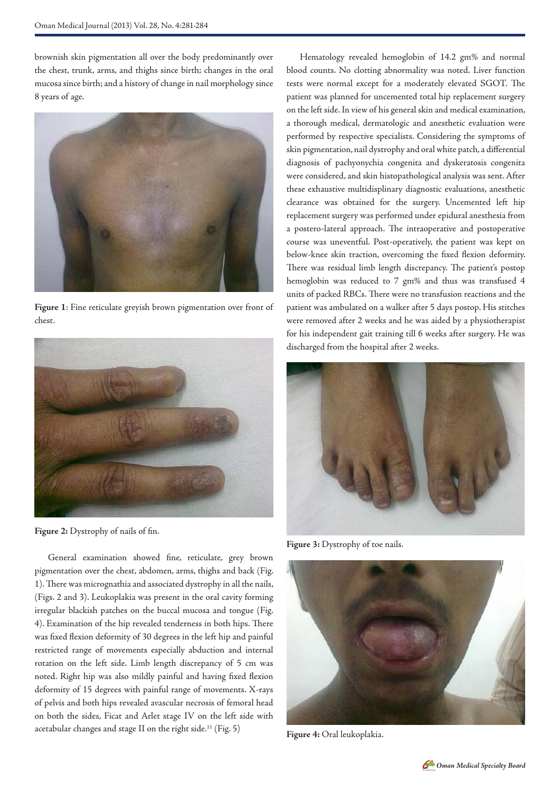brownish skin pigmentation all over the body predominantly over the chest, trunk, arms, and thighs since birth; changes in the oral mucosa since birth; and a history of change in nail morphology since 8 years of age.



**Figure 1**: Fine reticulate greyish brown pigmentation over front of chest.



**Figure 2:** Dystrophy of nails of fin.

General examination showed fine, reticulate, grey brown pigmentation over the chest, abdomen, arms, thighs and back (Fig. 1). There was micrognathia and associated dystrophy in all the nails, (Figs. 2 and 3). Leukoplakia was present in the oral cavity forming irregular blackish patches on the buccal mucosa and tongue (Fig. 4). Examination of the hip revealed tenderness in both hips. There was fixed flexion deformity of 30 degrees in the left hip and painful restricted range of movements especially abduction and internal rotation on the left side. Limb length discrepancy of 5 cm was noted. Right hip was also mildly painful and having fixed flexion deformity of 15 degrees with painful range of movements. X-rays of pelvis and both hips revealed avascular necrosis of femoral head on both the sides, Ficat and Arlet stage IV on the left side with acetabular changes and stage II on the right side.<sup>11</sup> (Fig. 5)

Hematology revealed hemoglobin of 14.2 gm% and normal blood counts. No clotting abnormality was noted. Liver function tests were normal except for a moderately elevated SGOT. The patient was planned for uncemented total hip replacement surgery on the left side. In view of his general skin and medical examination, a thorough medical, dermatologic and anesthetic evaluation were performed by respective specialists. Considering the symptoms of skin pigmentation, nail dystrophy and oral white patch, a differential diagnosis of pachyonychia congenita and dyskeratosis congenita were considered, and skin histopathological analysis was sent. After these exhaustive multidisplinary diagnostic evaluations, anesthetic clearance was obtained for the surgery. Uncemented left hip replacement surgery was performed under epidural anesthesia from a postero-lateral approach. The intraoperative and postoperative course was uneventful. Post-operatively, the patient was kept on below-knee skin traction, overcoming the fixed flexion deformity. There was residual limb length discrepancy. The patient's postop hemoglobin was reduced to 7 gm% and thus was transfused 4 units of packed RBCs. There were no transfusion reactions and the patient was ambulated on a walker after 5 days postop. His stitches were removed after 2 weeks and he was aided by a physiotherapist for his independent gait training till 6 weeks after surgery. He was discharged from the hospital after 2 weeks.



**Figure 3:** Dystrophy of toe nails.



**Figure 4:** Oral leukoplakia.

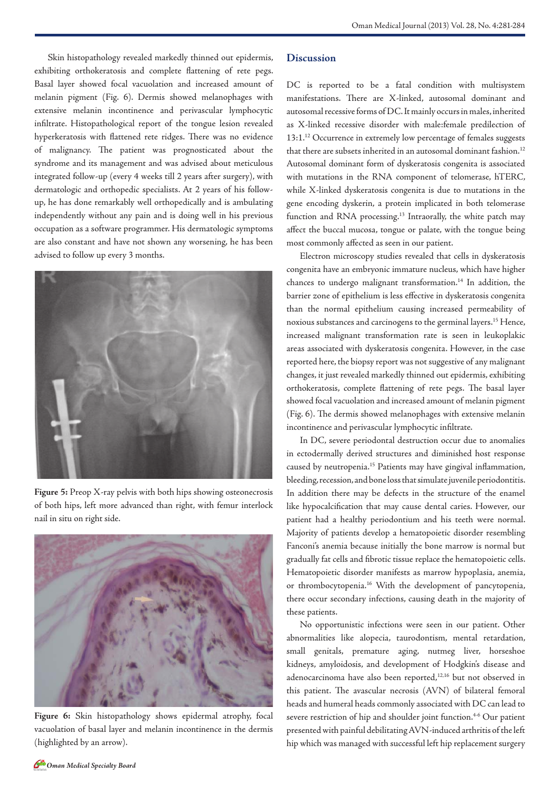Skin histopathology revealed markedly thinned out epidermis, exhibiting orthokeratosis and complete flattening of rete pegs. Basal layer showed focal vacuolation and increased amount of melanin pigment (Fig. 6). Dermis showed melanophages with extensive melanin incontinence and perivascular lymphocytic infiltrate. Histopathological report of the tongue lesion revealed hyperkeratosis with flattened rete ridges. There was no evidence of malignancy. The patient was prognosticated about the syndrome and its management and was advised about meticulous integrated follow-up (every 4 weeks till 2 years after surgery), with dermatologic and orthopedic specialists. At 2 years of his followup, he has done remarkably well orthopedically and is ambulating independently without any pain and is doing well in his previous occupation as a software programmer. His dermatologic symptoms are also constant and have not shown any worsening, he has been advised to follow up every 3 months.



**Figure 5:** Preop X-ray pelvis with both hips showing osteonecrosis of both hips, left more advanced than right, with femur interlock nail in situ on right side.



**Figure 6:** Skin histopathology shows epidermal atrophy, focal vacuolation of basal layer and melanin incontinence in the dermis (highlighted by an arrow).

### **Discussion**

DC is reported to be a fatal condition with multisystem manifestations. There are X-linked, autosomal dominant and autosomal recessive forms of DC. It mainly occurs in males, inherited as X-linked recessive disorder with male:female predilection of 13:1.<sup>12</sup> Occurrence in extremely low percentage of females suggests that there are subsets inherited in an autosomal dominant fashion.<sup>12</sup> Autosomal dominant form of dyskeratosis congenita is associated with mutations in the RNA component of telomerase, hTERC, while X-linked dyskeratosis congenita is due to mutations in the gene encoding dyskerin, a protein implicated in both telomerase function and RNA processing.<sup>13</sup> Intraorally, the white patch may affect the buccal mucosa, tongue or palate, with the tongue being most commonly affected as seen in our patient.

Electron microscopy studies revealed that cells in dyskeratosis congenita have an embryonic immature nucleus, which have higher chances to undergo malignant transformation.<sup>14</sup> In addition, the barrier zone of epithelium is less effective in dyskeratosis congenita than the normal epithelium causing increased permeability of noxious substances and carcinogens to the germinal layers.15 Hence, increased malignant transformation rate is seen in leukoplakic areas associated with dyskeratosis congenita. However, in the case reported here, the biopsy report was not suggestive of any malignant changes, it just revealed markedly thinned out epidermis, exhibiting orthokeratosis, complete flattening of rete pegs. The basal layer showed focal vacuolation and increased amount of melanin pigment (Fig. 6). The dermis showed melanophages with extensive melanin incontinence and perivascular lymphocytic infiltrate.

In DC, severe periodontal destruction occur due to anomalies in ectodermally derived structures and diminished host response caused by neutropenia.15 Patients may have gingival inflammation, bleeding, recession, and bone loss that simulate juvenile periodontitis. In addition there may be defects in the structure of the enamel like hypocalcification that may cause dental caries. However, our patient had a healthy periodontium and his teeth were normal. Majority of patients develop a hematopoietic disorder resembling Fanconi's anemia because initially the bone marrow is normal but gradually fat cells and fibrotic tissue replace the hematopoietic cells. Hematopoietic disorder manifests as marrow hypoplasia, anemia, or thrombocytopenia.16 With the development of pancytopenia, there occur secondary infections, causing death in the majority of these patients.

No opportunistic infections were seen in our patient. Other abnormalities like alopecia, taurodontism, mental retardation, small genitals, premature aging, nutmeg liver, horseshoe kidneys, amyloidosis, and development of Hodgkin's disease and adenocarcinoma have also been reported,<sup>12,16</sup> but not observed in this patient. The avascular necrosis (AVN) of bilateral femoral heads and humeral heads commonly associated with DC can lead to severe restriction of hip and shoulder joint function.<sup>4-6</sup> Our patient presented with painful debilitating AVN-induced arthritis of the left hip which was managed with successful left hip replacement surgery